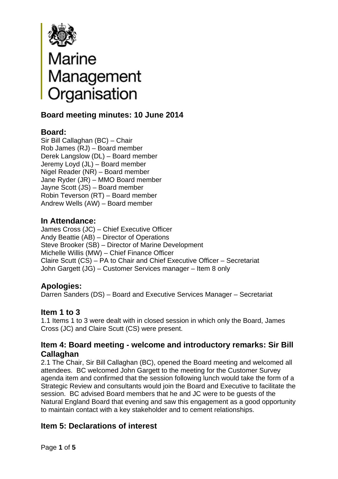

# **Board Marine<br>
Management<br>
Drganisation<br>
Board meeting minutes: 10 June 2014**

### **Board:**

Sir Bill Callaghan (BC) – Chair Rob James (RJ) – Board member Derek Langslow (DL) – Board member Jeremy Loyd (JL) – Board member Nigel Reader (NR) – Board member Jane Ryder (JR) – MMO Board member Jayne Scott (JS) – Board member Robin Teverson (RT) – Board member Andrew Wells (AW) – Board member

### **In Attendance:**

James Cross (JC) – Chief Executive Officer Andy Beattie (AB) – Director of Operations Steve Brooker (SB) – Director of Marine Development Michelle Willis (MW) – Chief Finance Officer Claire Scutt (CS) – PA to Chair and Chief Executive Officer – Secretariat John Gargett (JG) – Customer Services manager – Item 8 only

# **Apologies:**

Darren Sanders (DS) – Board and Executive Services Manager – Secretariat

### **Item 1 to 3**

1.1 Items 1 to 3 were dealt with in closed session in which only the Board, James Cross (JC) and Claire Scutt (CS) were present.

### **Item 4: Board meeting - welcome and introductory remarks: Sir Bill Callaghan**

2.1 The Chair, Sir Bill Callaghan (BC), opened the Board meeting and welcomed all attendees. BC welcomed John Gargett to the meeting for the Customer Survey agenda item and confirmed that the session following lunch would take the form of a Strategic Review and consultants would join the Board and Executive to facilitate the session. BC advised Board members that he and JC were to be guests of the Natural England Board that evening and saw this engagement as a good opportunity to maintain contact with a key stakeholder and to cement relationships.

# **Item 5: Declarations of interest**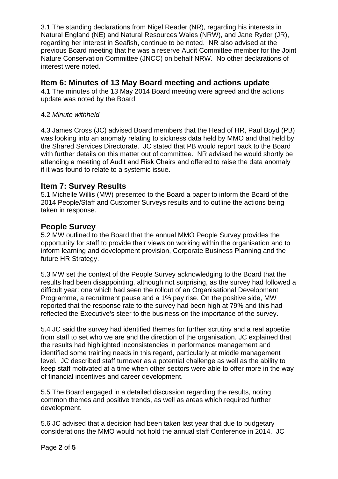3.1 The standing declarations from Nigel Reader (NR), regarding his interests in Natural England (NE) and Natural Resources Wales (NRW), and Jane Ryder (JR), regarding her interest in Seafish, continue to be noted. NR also advised at the previous Board meeting that he was a reserve Audit Committee member for the Joint Nature Conservation Committee (JNCC) on behalf NRW. No other declarations of interest were noted.

## **Item 6: Minutes of 13 May Board meeting and actions update**

4.1 The minutes of the 13 May 2014 Board meeting were agreed and the actions update was noted by the Board.

#### 4.2 *Minute withheld*

4.3 James Cross (JC) advised Board members that the Head of HR, Paul Boyd (PB) was looking into an anomaly relating to sickness data held by MMO and that held by the Shared Services Directorate. JC stated that PB would report back to the Board with further details on this matter out of committee. NR advised he would shortly be attending a meeting of Audit and Risk Chairs and offered to raise the data anomaly if it was found to relate to a systemic issue.

# **Item 7: Survey Results**

5.1 Michelle Willis (MW) presented to the Board a paper to inform the Board of the 2014 People/Staff and Customer Surveys results and to outline the actions being taken in response.

# **People Survey**

5.2 MW outlined to the Board that the annual MMO People Survey provides the opportunity for staff to provide their views on working within the organisation and to inform learning and development provision, Corporate Business Planning and the future HR Strategy.

5.3 MW set the context of the People Survey acknowledging to the Board that the results had been disappointing, although not surprising, as the survey had followed a difficult year: one which had seen the rollout of an Organisational Development Programme, a recruitment pause and a 1% pay rise. On the positive side, MW reported that the response rate to the survey had been high at 79% and this had reflected the Executive's steer to the business on the importance of the survey.

5.4 JC said the survey had identified themes for further scrutiny and a real appetite from staff to set who we are and the direction of the organisation. JC explained that the results had highlighted inconsistencies in performance management and identified some training needs in this regard, particularly at middle management level. JC described staff turnover as a potential challenge as well as the ability to keep staff motivated at a time when other sectors were able to offer more in the way of financial incentives and career development.

5.5 The Board engaged in a detailed discussion regarding the results, noting common themes and positive trends, as well as areas which required further development.

5.6 JC advised that a decision had been taken last year that due to budgetary considerations the MMO would not hold the annual staff Conference in 2014. JC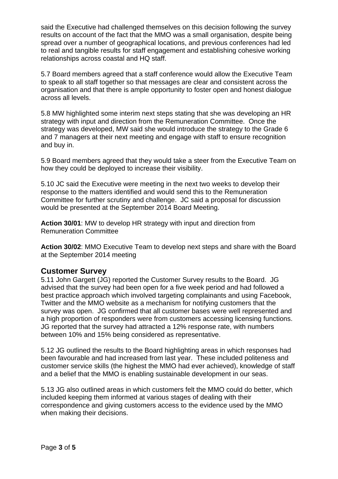said the Executive had challenged themselves on this decision following the survey results on account of the fact that the MMO was a small organisation, despite being spread over a number of geographical locations, and previous conferences had led to real and tangible results for staff engagement and establishing cohesive working relationships across coastal and HQ staff.

5.7 Board members agreed that a staff conference would allow the Executive Team to speak to all staff together so that messages are clear and consistent across the organisation and that there is ample opportunity to foster open and honest dialogue across all levels.

5.8 MW highlighted some interim next steps stating that she was developing an HR strategy with input and direction from the Remuneration Committee. Once the strategy was developed, MW said she would introduce the strategy to the Grade 6 and 7 managers at their next meeting and engage with staff to ensure recognition and buy in.

5.9 Board members agreed that they would take a steer from the Executive Team on how they could be deployed to increase their visibility.

5.10 JC said the Executive were meeting in the next two weeks to develop their response to the matters identified and would send this to the Remuneration Committee for further scrutiny and challenge. JC said a proposal for discussion would be presented at the September 2014 Board Meeting.

**Action 30/01**: MW to develop HR strategy with input and direction from Remuneration Committee

**Action 30/02**: MMO Executive Team to develop next steps and share with the Board at the September 2014 meeting

#### **Customer Survey**

5.11 John Gargett (JG) reported the Customer Survey results to the Board. JG advised that the survey had been open for a five week period and had followed a best practice approach which involved targeting complainants and using Facebook, Twitter and the MMO website as a mechanism for notifying customers that the survey was open. JG confirmed that all customer bases were well represented and a high proportion of responders were from customers accessing licensing functions. JG reported that the survey had attracted a 12% response rate, with numbers between 10% and 15% being considered as representative.

5.12 JG outlined the results to the Board highlighting areas in which responses had been favourable and had increased from last year. These included politeness and customer service skills (the highest the MMO had ever achieved), knowledge of staff and a belief that the MMO is enabling sustainable development in our seas.

5.13 JG also outlined areas in which customers felt the MMO could do better, which included keeping them informed at various stages of dealing with their correspondence and giving customers access to the evidence used by the MMO when making their decisions.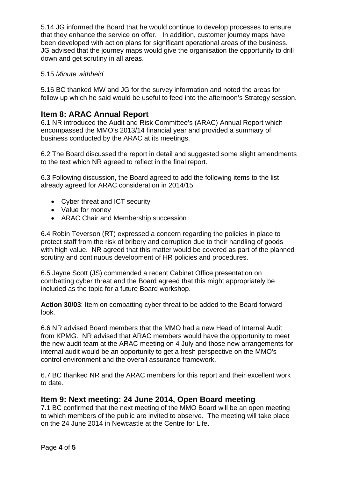5.14 JG informed the Board that he would continue to develop processes to ensure that they enhance the service on offer. In addition, customer journey maps have been developed with action plans for significant operational areas of the business. JG advised that the journey maps would give the organisation the opportunity to drill down and get scrutiny in all areas.

#### 5.15 *Minute withheld*

5.16 BC thanked MW and JG for the survey information and noted the areas for follow up which he said would be useful to feed into the afternoon's Strategy session.

#### **Item 8: ARAC Annual Report**

6.1 NR introduced the Audit and Risk Committee's (ARAC) Annual Report which encompassed the MMO's 2013/14 financial year and provided a summary of business conducted by the ARAC at its meetings.

6.2 The Board discussed the report in detail and suggested some slight amendments to the text which NR agreed to reflect in the final report.

6.3 Following discussion, the Board agreed to add the following items to the list already agreed for ARAC consideration in 2014/15:

- Cyber threat and ICT security
- Value for money
- ARAC Chair and Membership succession

6.4 Robin Teverson (RT) expressed a concern regarding the policies in place to protect staff from the risk of bribery and corruption due to their handling of goods with high value. NR agreed that this matter would be covered as part of the planned scrutiny and continuous development of HR policies and procedures.

6.5 Jayne Scott (JS) commended a recent Cabinet Office presentation on combatting cyber threat and the Board agreed that this might appropriately be included as the topic for a future Board workshop.

**Action 30/03**: Item on combatting cyber threat to be added to the Board forward look.

6.6 NR advised Board members that the MMO had a new Head of Internal Audit from KPMG. NR advised that ARAC members would have the opportunity to meet the new audit team at the ARAC meeting on 4 July and those new arrangements for internal audit would be an opportunity to get a fresh perspective on the MMO's control environment and the overall assurance framework.

6.7 BC thanked NR and the ARAC members for this report and their excellent work to date.

#### **Item 9: Next meeting: 24 June 2014, Open Board meeting**

7.1 BC confirmed that the next meeting of the MMO Board will be an open meeting to which members of the public are invited to observe. The meeting will take place on the 24 June 2014 in Newcastle at the Centre for Life.